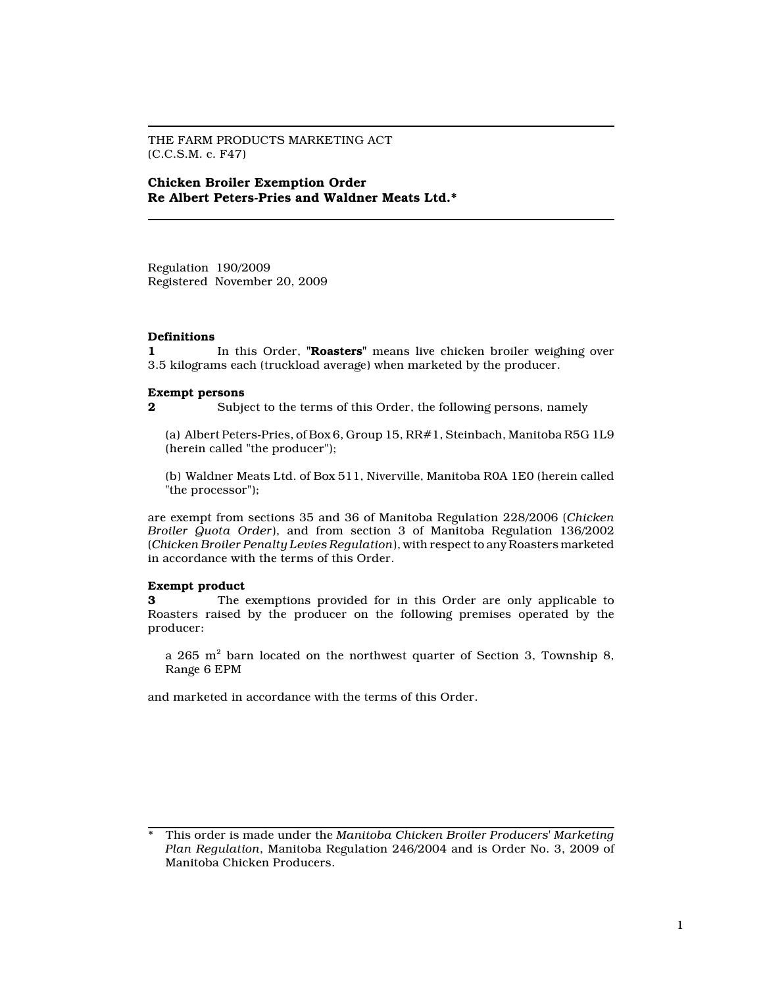THE FARM PRODUCTS MARKETING ACT (C.C.S.M. c. F47)

Chicken Broiler Exemption Order Re Albert Peters-Pries and Waldner Meats Ltd.\*

Regulation 190/2009 Registered November 20, 2009

## Definitions

1 In this Order, "Roasters" means live chicken broiler weighing over 3.5 kilograms each (truckload average) when marketed by the producer.

## Exempt persons

2 Subject to the terms of this Order, the following persons, namely

(a) Albert Peters-Pries, of Box 6, Group 15, RR#1, Steinbach, Manitoba R5G 1L9 (herein called "the producer");

(b) Waldner Meats Ltd. of Box 511, Niverville, Manitoba R0A 1E0 (herein called "the processor");

are exempt from sections 35 and 36 of Manitoba Regulation 228/2006 (Chicken Broiler Quota Order), and from section 3 of Manitoba Regulation 136/2002 (Chicken Broiler Penalty Levies Regulation), with respect to any Roasters marketed in accordance with the terms of this Order.

## Exempt product

3 The exemptions provided for in this Order are only applicable to Roasters raised by the producer on the following premises operated by the producer:

a 265  $\mathrm{m}^2$  barn located on the northwest quarter of Section 3, Township 8, Range 6 EPM

and marketed in accordance with the terms of this Order.

This order is made under the Manitoba Chicken Broiler Producers' Marketing Plan Regulation, Manitoba Regulation 246/2004 and is Order No. 3, 2009 of Manitoba Chicken Producers.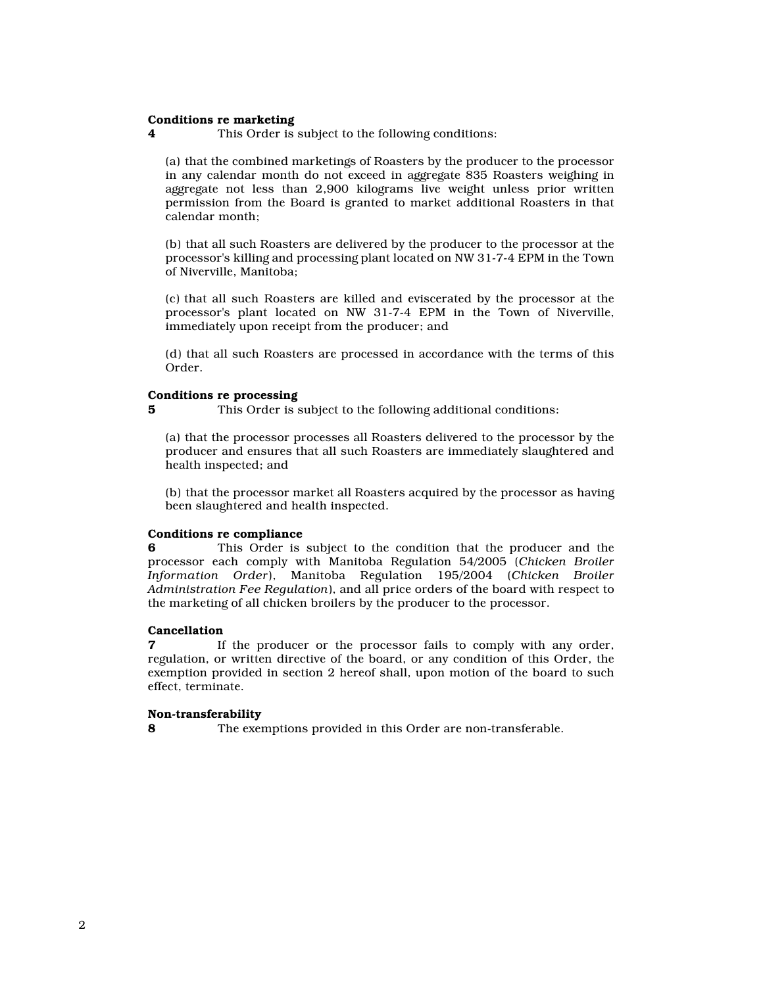## Conditions re marketing

4 This Order is subject to the following conditions:

(a) that the combined marketings of Roasters by the producer to the processor in any calendar month do not exceed in aggregate 835 Roasters weighing in aggregate not less than 2,900 kilograms live weight unless prior written permission from the Board is granted to market additional Roasters in that calendar month;

(b) that all such Roasters are delivered by the producer to the processor at the processor's killing and processing plant located on NW 31-7-4 EPM in the Town of Niverville, Manitoba;

(c) that all such Roasters are killed and eviscerated by the processor at the processor's plant located on NW 31-7-4 EPM in the Town of Niverville, immediately upon receipt from the producer; and

(d) that all such Roasters are processed in accordance with the terms of this Order.

### Conditions re processing

5 This Order is subject to the following additional conditions:

(a) that the processor processes all Roasters delivered to the processor by the producer and ensures that all such Roasters are immediately slaughtered and health inspected; and

(b) that the processor market all Roasters acquired by the processor as having been slaughtered and health inspected.

# Conditions re compliance

6 This Order is subject to the condition that the producer and the processor each comply with Manitoba Regulation 54/2005 (Chicken Broiler Information Order), Manitoba Regulation 195/2004 (Chicken Broiler Administration Fee Regulation), and all price orders of the board with respect to the marketing of all chicken broilers by the producer to the processor.

#### Cancellation

If the producer or the processor fails to comply with any order, regulation, or written directive of the board, or any condition of this Order, the exemption provided in section 2 hereof shall, upon motion of the board to such effect, terminate.

#### Non-transferability

8 The exemptions provided in this Order are non-transferable.